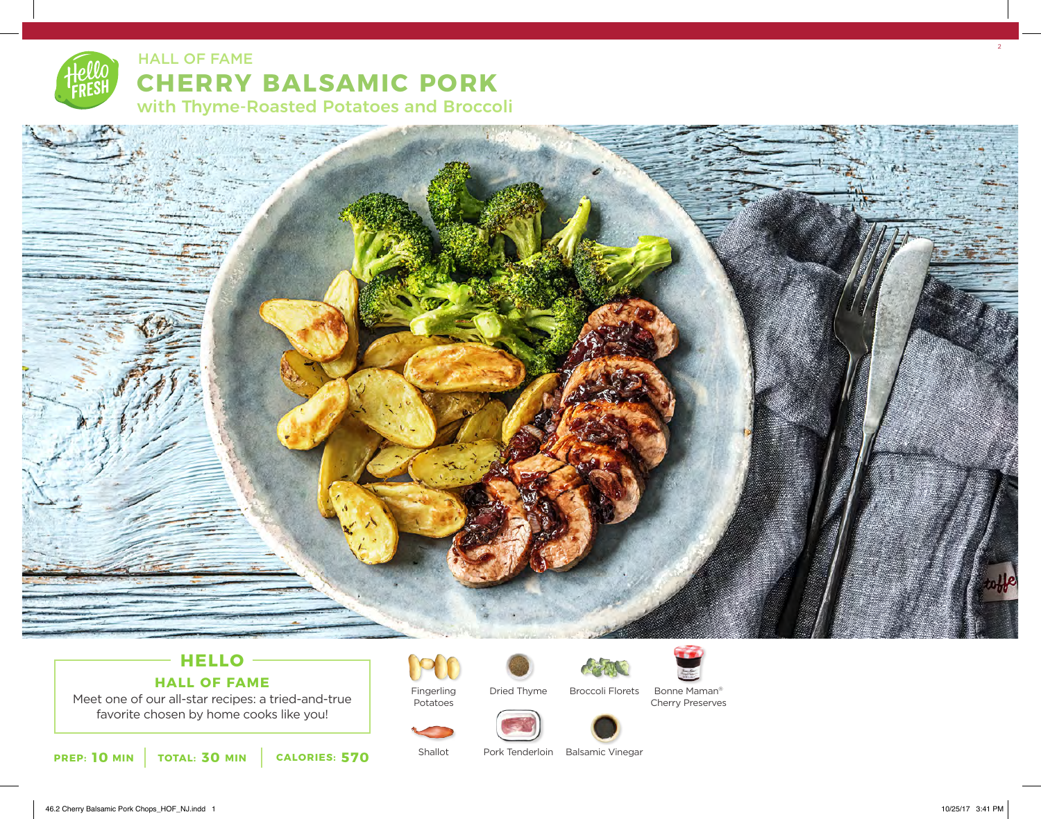



# **HELLO HALL OF FAME**

Meet one of our all-star recipes: a tried-and-true favorite chosen by home cooks like you!

**10** MIN | TOTAL: 30 MIN | CALORIES: 570



Potatoes

Shallot

Dried Thyme



Bonne Maman®

Cherry Preserves



Pork Tenderloin Balsamic Vinegar